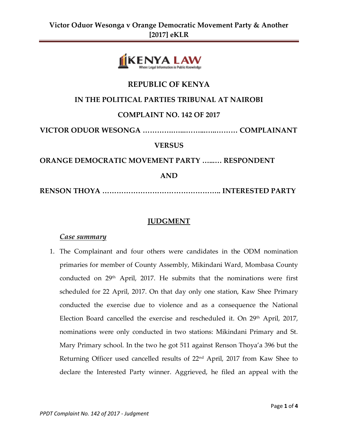

# **REPUBLIC OF KENYA**

# **IN THE POLITICAL PARTIES TRIBUNAL AT NAIROBI**

## **COMPLAINT NO. 142 OF 2017**

**VICTOR ODUOR WESONGA ………….…...……...…..……… COMPLAINANT**

#### **VERSUS**

**ORANGE DEMOCRATIC MOVEMENT PARTY …...… RESPONDENT**

**AND**

**RENSON THOYA ………………………………………….. INTERESTED PARTY**

#### **JUDGMENT**

#### *Case summary*

1. The Complainant and four others were candidates in the ODM nomination primaries for member of County Assembly, Mikindani Ward, Mombasa County conducted on  $29<sup>th</sup>$  April, 2017. He submits that the nominations were first scheduled for 22 April, 2017. On that day only one station, Kaw Shee Primary conducted the exercise due to violence and as a consequence the National Election Board cancelled the exercise and rescheduled it. On 29<sup>th</sup> April, 2017, nominations were only conducted in two stations: Mikindani Primary and St. Mary Primary school. In the two he got 511 against Renson Thoya'a 396 but the Returning Officer used cancelled results of 22nd April, 2017 from Kaw Shee to declare the Interested Party winner. Aggrieved, he filed an appeal with the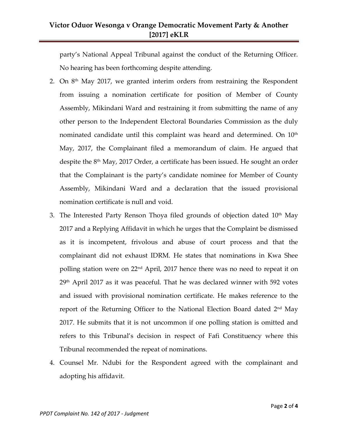# **Victor Oduor Wesonga v Orange Democratic Movement Party & Another [2017] eKLR**

party's National Appeal Tribunal against the conduct of the Returning Officer. No hearing has been forthcoming despite attending.

- 2. On  $8<sup>th</sup>$  May 2017, we granted interim orders from restraining the Respondent from issuing a nomination certificate for position of Member of County Assembly, Mikindani Ward and restraining it from submitting the name of any other person to the Independent Electoral Boundaries Commission as the duly nominated candidate until this complaint was heard and determined. On  $10<sup>th</sup>$ May, 2017, the Complainant filed a memorandum of claim. He argued that despite the 8 th May, 2017 Order, a certificate has been issued. He sought an order that the Complainant is the party's candidate nominee for Member of County Assembly, Mikindani Ward and a declaration that the issued provisional nomination certificate is null and void.
- 3. The Interested Party Renson Thoya filed grounds of objection dated 10<sup>th</sup> May 2017 and a Replying Affidavit in which he urges that the Complaint be dismissed as it is incompetent, frivolous and abuse of court process and that the complainant did not exhaust IDRM. He states that nominations in Kwa Shee polling station were on 22<sup>nd</sup> April, 2017 hence there was no need to repeat it on  $29<sup>th</sup>$  April 2017 as it was peaceful. That he was declared winner with 592 votes and issued with provisional nomination certificate. He makes reference to the report of the Returning Officer to the National Election Board dated 2<sup>nd</sup> May 2017. He submits that it is not uncommon if one polling station is omitted and refers to this Tribunal's decision in respect of Fafi Constituency where this Tribunal recommended the repeat of nominations.
- 4. Counsel Mr. Ndubi for the Respondent agreed with the complainant and adopting his affidavit.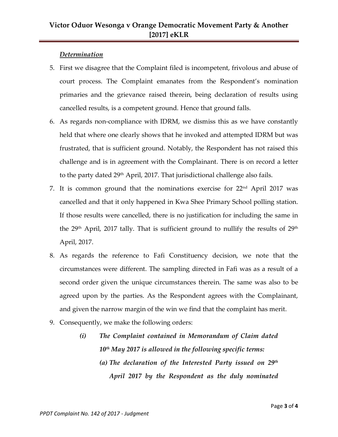#### *Determination*

- 5. First we disagree that the Complaint filed is incompetent, frivolous and abuse of court process. The Complaint emanates from the Respondent's nomination primaries and the grievance raised therein, being declaration of results using cancelled results, is a competent ground. Hence that ground falls.
- 6. As regards non-compliance with IDRM, we dismiss this as we have constantly held that where one clearly shows that he invoked and attempted IDRM but was frustrated, that is sufficient ground. Notably, the Respondent has not raised this challenge and is in agreement with the Complainant. There is on record a letter to the party dated 29<sup>th</sup> April, 2017. That jurisdictional challenge also fails.
- 7. It is common ground that the nominations exercise for 22nd April 2017 was cancelled and that it only happened in Kwa Shee Primary School polling station. If those results were cancelled, there is no justification for including the same in the  $29<sup>th</sup>$  April, 2017 tally. That is sufficient ground to nullify the results of  $29<sup>th</sup>$ April, 2017.
- 8. As regards the reference to Fafi Constituency decision, we note that the circumstances were different. The sampling directed in Fafi was as a result of a second order given the unique circumstances therein. The same was also to be agreed upon by the parties. As the Respondent agrees with the Complainant, and given the narrow margin of the win we find that the complaint has merit.
- 9. Consequently, we make the following orders:
	- *(i) The Complaint contained in Memorandum of Claim dated 10th May 2017 is allowed in the following specific terms: (a) The declaration of the Interested Party issued on 29th April 2017 by the Respondent as the duly nominated*